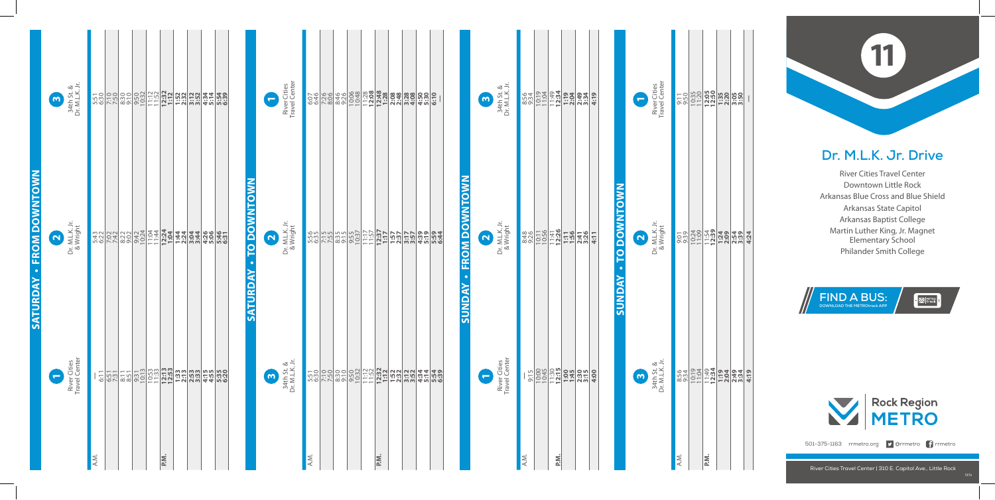## **Dr. M.L.K. Jr. Drive**

River Cities Travel Center Downtown Little Rock Arkansas Blue Cross and Blue Shield Arkansas State Capitol Arkansas Baptist College Martin Luther King, Jr. Magnet Elementary School Philander Smith College



**Sunday • to Downtown**

**SUNDAY - TO DOWNTOWN** 







501-375-1163 rrmetro.org **9** @rrmetro **f** rrmetro

|                                              | $\boldsymbol{\omega}$ | 34th St. &<br>Dr. M.L.K. Jr.  |      |                                   |  |      |  |  |                         | $\overline{\phantom{0}}$ |                       | River Cities<br>Travel Center          |      |  |  |      |  |  |                                   | $\boldsymbol{\omega}$    | 34th St. &<br>Dr. M.L.K. Jr. |      |     |                    |  |
|----------------------------------------------|-----------------------|-------------------------------|------|-----------------------------------|--|------|--|--|-------------------------|--------------------------|-----------------------|----------------------------------------|------|--|--|------|--|--|-----------------------------------|--------------------------|------------------------------|------|-----|--------------------|--|
| <b>FROM DOWNTOWN</b><br>$\ddot{\phantom{0}}$ | $\mathbf{\Omega}$     | Dr. M.L.K. Jr.<br>& Wright    |      |                                   |  |      |  |  | M<br>C<br>TO DOWNT<br>đ | $\mathbf{\Omega}$        |                       | Dr. M.L.K. Jr.<br>& Wright             |      |  |  |      |  |  | <b>FROM DOWNTOWN</b><br>$\bullet$ | $\overline{\mathbf{N}}$  | Dr. M.L.K. Jr.<br>& Wright   |      |     | $\frac{830}{8320}$ |  |
| <b>SATURDAY</b>                              | $\blacksquare$        | River Cities<br>Travel Center |      | <u>alaalaalaalaa taalaalaalaa</u> |  |      |  |  | <b>SATURD</b>           |                          | $\boldsymbol{\omega}$ | $k.3$<br>$k.3$<br>34th St<br>Dr. M.L.I |      |  |  |      |  |  | <b>SUNDAY</b>                     | $\overline{\phantom{0}}$ | Center<br>Center<br>River    |      |     |                    |  |
|                                              |                       |                               | A.M. |                                   |  | P.M. |  |  |                         |                          |                       |                                        | A.M. |  |  | P.M. |  |  |                                   |                          |                              | A.M. | P.M |                    |  |

|      |      | <u>င်းပိုမြို<b>းမျှ အခါ</b><br/>ကျွမ်းပိုမိုးမျှ အခါ</u><br>င်းပိုမြို့သည် |      |  |
|------|------|-----------------------------------------------------------------------------|------|--|
|      |      |                                                                             | 4:24 |  |
|      |      |                                                                             | 4:7  |  |
| A.M. | P.M. |                                                                             |      |  |

34th St. & Dr. M.L.K. Jr.

<u>ო</u>

Dr. M.L.K. Jr. & Wright

 $\mathbf{r}$ 

River Cities Travel Center

**1**